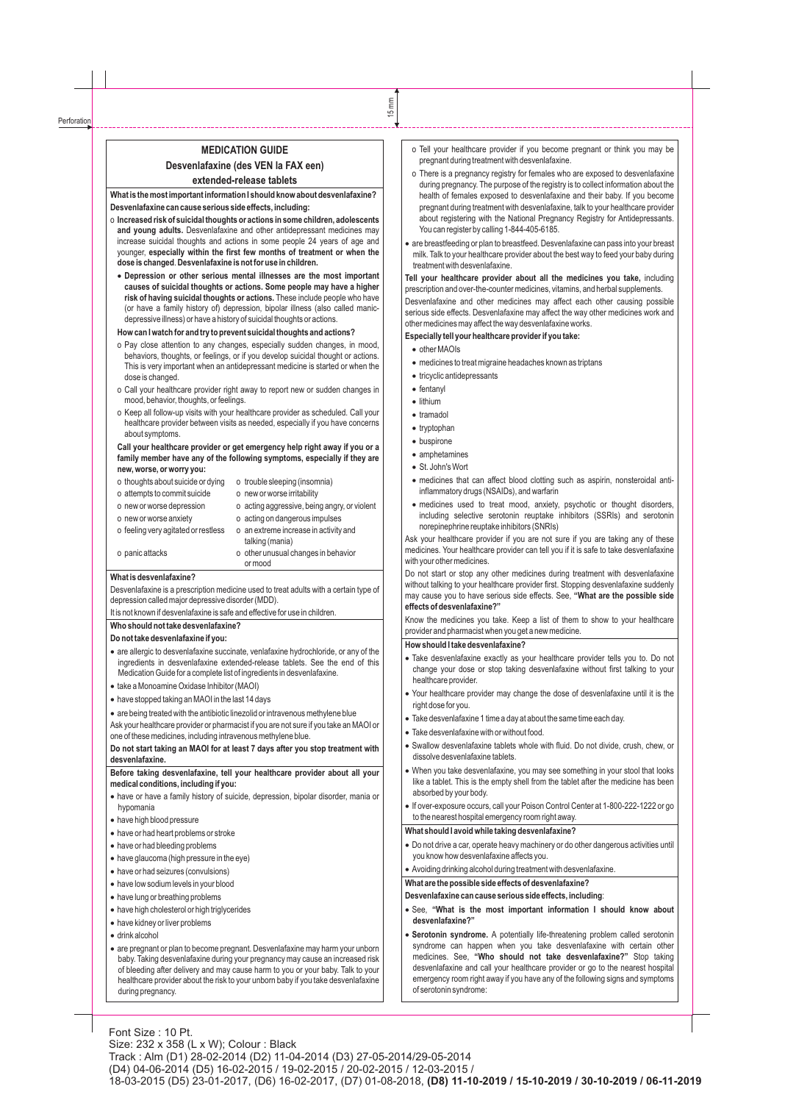# **MEDICATION GUIDE Desvenlafaxine (des VEN la FAX een) extended-release tablets**

**What is the most important information I should know about desvenlafaxine? Desvenlafaxine can cause serious side effects, including:** 

- o **Increased risk of suicidal thoughts or actions in some children, adolescents and young adults.** Desvenlafaxine and other antidepressant medicines may increase suicidal thoughts and actions in some people 24 years of age and younger, **especially within the first few months of treatment or when the dose is changed**.**Desvenlafaxine is not for use in children.** 
	- ·**Depression or other serious mental illnesses are the most important causes of suicidal thoughts or actions. Some people may have a higher risk of having suicidal thoughts or actions.** These include people who have (or have a family history of) depression, bipolar illness (also called manicdepressive illness) or have a history of suicidal thoughts or actions.

#### **How can I watch for and try to prevent suicidal thoughts and actions?**

- o Pay close attention to any changes, especially sudden changes, in mood, behaviors, thoughts, or feelings, or if you develop suicidal thought or actions. This is very important when an antidepressant medicine is started or when the dose is changed.
- o Call your healthcare provider right away to report new or sudden changes in mood, behavior, thoughts, or feelings.
- o Keep all follow-up visits with your healthcare provider as scheduled. Call your healthcare provider between visits as needed, especially if you have concerns about symptoms.

#### **Call your healthcare provider or get emergency help right away if you or a family member have any of the following symptoms, especially if they are new, worse, or worry you:**

| o thoughts about suicide or dying   | o trouble sleeping (insomnia)                            |
|-------------------------------------|----------------------------------------------------------|
| o attempts to commit suicide        | o new or worse irritability                              |
| o new or worse depression           | o acting aggressive, being angry, or violent             |
| o new or worse anxiety              | o acting on dangerous impulses                           |
| o feeling very agitated or restless | o an extreme increase in activity and<br>talking (mania) |
| o panic attacks                     | o other unusual changes in behavior<br>or mood           |

#### **What is desvenlafaxine?**

Desvenlafaxine is a prescription medicine used to treat adults with a certain type of depression called major depressive disorder (MDD).

It is not known if desvenlafaxine is safe and effective for use in children.

### **Who should not take desvenlafaxine?**

#### **Do not take desvenlafaxine if you:**

- ·are allergic to desvenlafaxine succinate, venlafaxine hydrochloride, or any of the ingredients in desvenlafaxine extended-release tablets. See the end of this Medication Guide for a complete list of ingredients in desvenlafaxine.
- ·take a Monoamine Oxidase Inhibitor (MAOI)
- have stopped taking an MAOI in the last 14 days
- are being treated with the antibiotic linezolid or intravenous methylene blue

Ask your healthcare provider or pharmacist if you are not sure if you take an MAOI or one of these medicines, including intravenous methylene blue.

### **Do not start taking an MAOI for at least 7 days after you stop treatment with desvenlafaxine.**

#### **Before taking desvenlafaxine, tell your healthcare provider about all your medical conditions, including if you:**

- ·have or have a family history of suicide, depression, bipolar disorder, mania or hypomania
- have high blood pressure
- have or had heart problems or stroke
- have or had bleeding problems
- ·have glaucoma (high pressure in the eye)
- have or had seizures (convulsions)
- have low sodium levels in your blood
- have lung or breathing problems
- have high cholesterol or high triglycerides
- have kidney or liver problems
- ·drink alcohol
- are pregnant or plan to become pregnant. Desvenlafaxine may harm your unborn baby. Taking desvenlafaxine during your pregnancy may cause an increased risk of bleeding after delivery and may cause harm to you or your baby. Talk to your healthcare provider about the risk to your unborn baby if you take desvenlafaxine during pregnancy.
- o Tell your healthcare provider if you become pregnant or think you may be pregnant during treatment with desvenlafaxine.
- o There is a pregnancy registry for females who are exposed to desvenlafaxine during pregnancy. The purpose of the registry is to collect information about the health of females exposed to desvenlafaxine and their baby. If you become pregnant during treatment with desvenlafaxine, talk to your healthcare provider about registering with the National Pregnancy Registry for Antidepressants. You can register by calling 1-844-405-6185.
- ·are breastfeeding or plan to breastfeed. Desvenlafaxine can pass into your breast milk. Talk to your healthcare provider about the best way to feed your baby during treatment with desvenlafaxine.

**Tell your healthcare provider about all the medicines you take,** including prescription and over-the-counter medicines, vitamins, and herbal supplements.

Desvenlafaxine and other medicines may affect each other causing possible serious side effects. Desvenlafaxine may affect the way other medicines work and other medicines may affect the way desvenlafaxine works.

### **Especially tell your healthcare provider if you take:**

- other MAOIs
- ·medicines to treat migraine headaches known as triptans
- tricyclic antidepressants
- fentanyl
- lithium
- tramadol
- tryptophan
- buspirone
- amphetamines
- St. John's Wort
- ·medicines that can affect blood clotting such as aspirin, nonsteroidal antiinflammatory drugs (NSAIDs), and warfarin
- medicines used to treat mood, anxiety, psychotic or thought disorders, including selective serotonin reuptake inhibitors (SSRIs) and serotonin norepinephrine reuptake inhibitors (SNRIs)

Ask your healthcare provider if you are not sure if you are taking any of these medicines. Your healthcare provider can tell you if it is safe to take desvenlafaxine with your other medicines.

Do not start or stop any other medicines during treatment with desvenlafaxine without talking to your healthcare provider first. Stopping desvenlafaxine suddenly may cause you to have serious side effects. See, **"What are the possible side effects of desvenlafaxine?"** 

Know the medicines you take. Keep a list of them to show to your healthcare provider and pharmacist when you get a new medicine.

### **How should I take desvenlafaxine?**

- ·Take desvenlafaxine exactly as your healthcare provider tells you to. Do not change your dose or stop taking desvenlafaxine without first talking to your healthcare provider.
- ·Your healthcare provider may change the dose of desvenlafaxine until it is the right dose for you.
- ·Take desvenlafaxine 1 time a day at about the same time each day.
- Take desvenlafaxine with or without food.
- ·Swallow desvenlafaxine tablets whole with fluid. Do not divide, crush, chew, or dissolve desvenlafaxine tablets.
- When you take desvenlafaxine, you may see something in your stool that looks like a tablet. This is the empty shell from the tablet after the medicine has been absorbed by your body.
- ·If over-exposure occurs, call your Poison Control Center at 1-800-222-1222 or go to the nearest hospital emergency room right away.

# **What should I avoid while taking desvenlafaxine?**

- ·Do not drive a car, operate heavy machinery or do other dangerous activities until you know how desvenlafaxine affects you.
- Avoiding drinking alcohol during treatment with desvenlafaxine.

**What are the possible side effects of desvenlafaxine?**

**Desvenlafaxine can cause serious side effects, including**:

- ·See, **"What is the most important information I should know about desvenlafaxine?"**
- ·**Serotonin syndrome.** A potentially life-threatening problem called serotonin syndrome can happen when you take desvenlafaxine with certain other medicines. See, **"Who should not take desvenlafaxine?"** Stop taking desvenlafaxine and call your healthcare provider or go to the nearest hospital emergency room right away if you have any of the following signs and symptoms of serotonin syndrome: